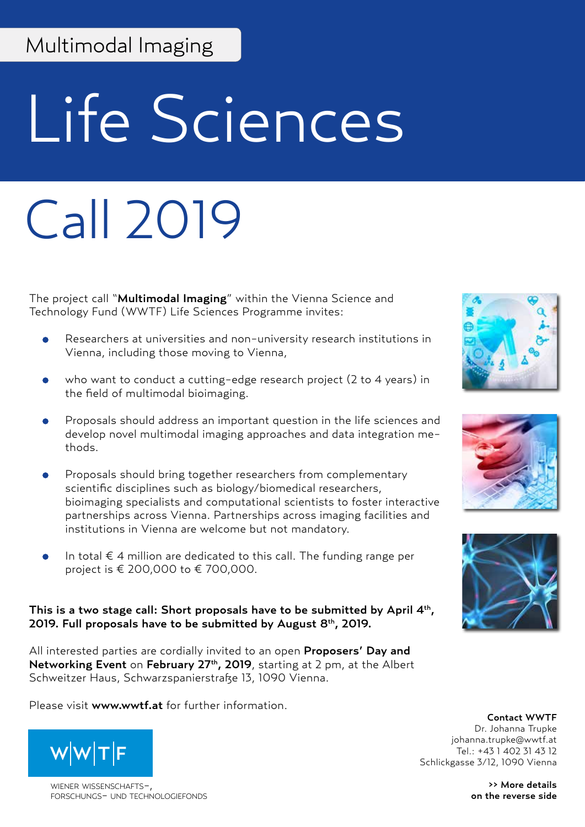## Multimodal Imaging

# Life Sciences

## Call 2019

The project call "Multimodal Imaging" within the Vienna Science and Technology Fund (WWTF) Life Sciences Programme invites:

- Researchers at universities and non-university research institutions in Vienna, including those moving to Vienna,
- who want to conduct a cutting-edge research project (2 to 4 years) in the field of multimodal bioimaging.
- Proposals should address an important question in the life sciences and develop novel multimodal imaging approaches and data integration methods.
- Proposals should bring together researchers from complementary scientific disciplines such as biology/biomedical researchers, bioimaging specialists and computational scientists to foster interactive partnerships across Vienna. Partnerships across imaging facilities and institutions in Vienna are welcome but not mandatory.
- In total  $\epsilon$  4 million are dedicated to this call. The funding range per project is € 200,000 to € 700,000.

#### This is a two stage call: Short proposals have to be submitted by April 4<sup>th</sup>, 2019. Full proposals have to be submitted by August  $8<sup>th</sup>$ , 2019.

All interested parties are cordially invited to an open Proposers' Day and Networking Event on February 27<sup>th</sup>, 2019, starting at 2 pm, at the Albert Schweitzer Haus, Schwarzspanierstraße 13, 1090 Vienna.

Please visit www.wwtf.at for further information.



WIENER WISSENSCHAFTSforschungs- und technologiefonds





Contact WWTF Dr. Johanna Trupke johanna.trupke@wwtf.at Tel.: +43 1 402 31 43 12 Schlickgasse 3/12, 1090 Vienna

> >> More details on the reverse side